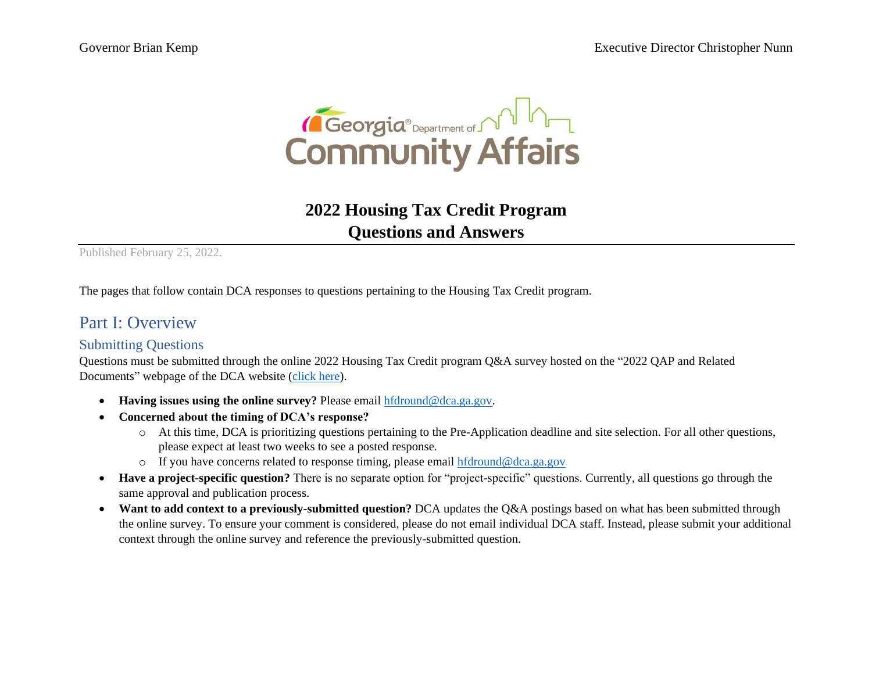

## **2022 Housing Tax Credit Program Questions and Answers**

Published February 25, 2022.

The pages that follow contain DCA responses to questions pertaining to the Housing Tax Credit program.

### Part I: Overview

#### Submitting Questions

Questions must be submitted through the online 2022 Housing Tax Credit program Q&A survey hosted on the "2022 QAP and Related Documents" webpage of the DCA website [\(click here\)](https://www.dca.ga.gov/safe-affordable-housing/rental-housing-development/housing-tax-credit-program-lihtc/qualified-0/2022).

- **Having issues using the online survey?** Please email [hfdround@dca.ga.gov.](mailto:hfdround@dca.ga.gov)
- **Concerned about the timing of DCA's response?** 
	- o At this time, DCA is prioritizing questions pertaining to the Pre-Application deadline and site selection. For all other questions, please expect at least two weeks to see a posted response.
	- o If you have concerns related to response timing, please email [hfdround@dca.ga.gov](mailto:hfdround@dca.ga.gov)
- **Have a project-specific question?** There is no separate option for "project-specific" questions. Currently, all questions go through the same approval and publication process.
- Want to add context to a previously-submitted question? DCA updates the Q&A postings based on what has been submitted through the online survey. To ensure your comment is considered, please do not email individual DCA staff. Instead, please submit your additional context through the online survey and reference the previously-submitted question.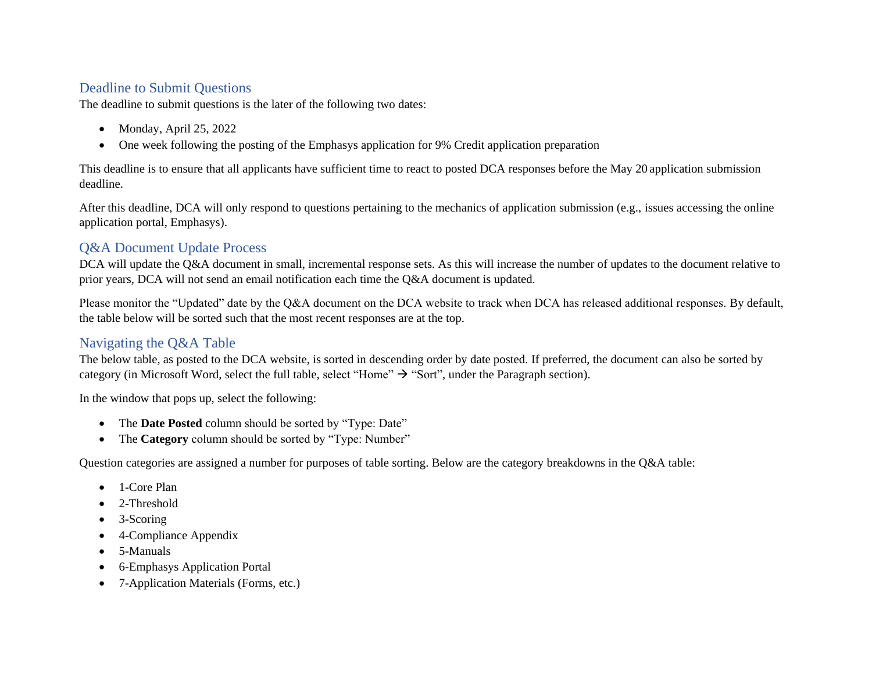#### Deadline to Submit Questions

The deadline to submit questions is the later of the following two dates:

- Monday, April 25, 2022
- One week following the posting of the Emphasys application for 9% Credit application preparation

This deadline is to ensure that all applicants have sufficient time to react to posted DCA responses before the May 20 application submission deadline.

After this deadline, DCA will only respond to questions pertaining to the mechanics of application submission (e.g., issues accessing the online application portal, Emphasys).

#### Q&A Document Update Process

DCA will update the Q&A document in small, incremental response sets. As this will increase the number of updates to the document relative to prior years, DCA will not send an email notification each time the Q&A document is updated.

Please monitor the "Updated" date by the Q&A document on the DCA website to track when DCA has released additional responses. By default, the table below will be sorted such that the most recent responses are at the top.

#### Navigating the Q&A Table

The below table, as posted to the DCA website, is sorted in descending order by date posted. If preferred, the document can also be sorted by category (in Microsoft Word, select the full table, select "Home"  $\rightarrow$  "Sort", under the Paragraph section).

In the window that pops up, select the following:

- The **Date Posted** column should be sorted by "Type: Date"
- The **Category** column should be sorted by "Type: Number"

Question categories are assigned a number for purposes of table sorting. Below are the category breakdowns in the Q&A table:

- 1-Core Plan
- 2-Threshold
- 3-Scoring
- 4-Compliance Appendix
- 5-Manuals
- 6-Emphasys Application Portal
- 7-Application Materials (Forms, etc.)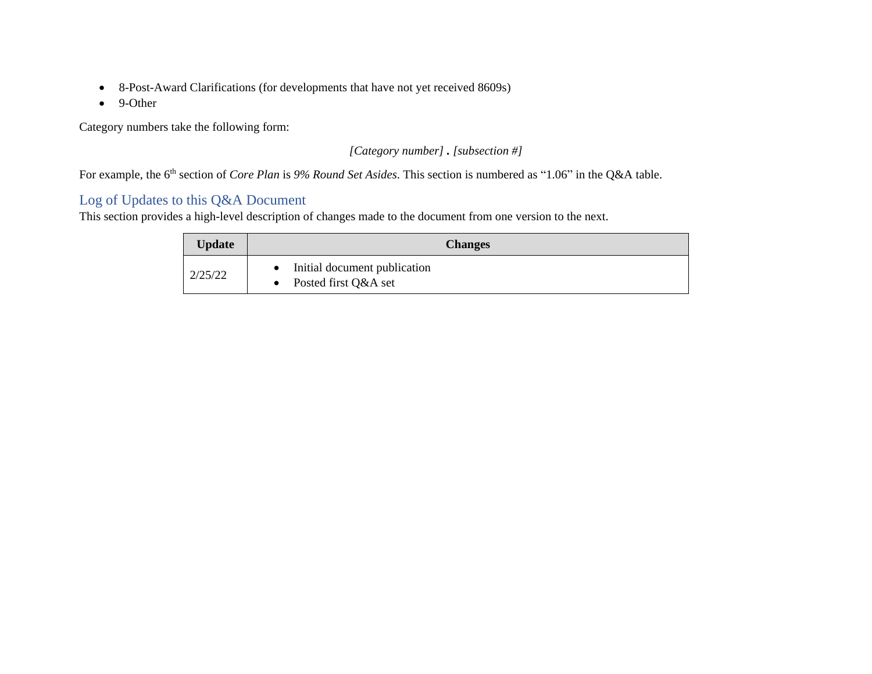- 8-Post-Award Clarifications (for developments that have not yet received 8609s)
- 9-Other

Category numbers take the following form:

*[Category number] . [subsection #]*

For example, the 6<sup>th</sup> section of *Core Plan* is 9% Round Set Asides. This section is numbered as "1.06" in the Q&A table.

#### Log of Updates to this Q&A Document

This section provides a high-level description of changes made to the document from one version to the next.

| <b>Update</b> | <b>Changes</b>                                       |  |  |
|---------------|------------------------------------------------------|--|--|
| 2/25/22       | Initial document publication<br>Posted first Q&A set |  |  |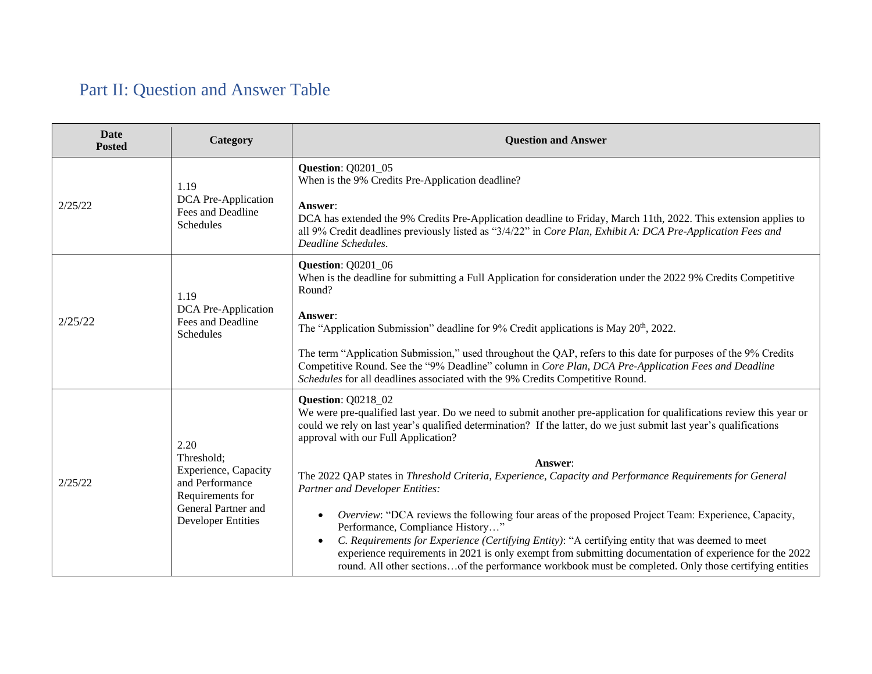# Part II: Question and Answer Table

| Date<br><b>Posted</b> | Category                                                                                                                              | <b>Question and Answer</b>                                                                                                                                                                                                                                                                                                                                                                                                                                                                                                                                                                                                                                                                                                                                                                                                                                                                                                                         |
|-----------------------|---------------------------------------------------------------------------------------------------------------------------------------|----------------------------------------------------------------------------------------------------------------------------------------------------------------------------------------------------------------------------------------------------------------------------------------------------------------------------------------------------------------------------------------------------------------------------------------------------------------------------------------------------------------------------------------------------------------------------------------------------------------------------------------------------------------------------------------------------------------------------------------------------------------------------------------------------------------------------------------------------------------------------------------------------------------------------------------------------|
| 2/25/22               | 1.19<br>DCA Pre-Application<br>Fees and Deadline<br>Schedules                                                                         | <b>Question: Q0201_05</b><br>When is the 9% Credits Pre-Application deadline?<br>Answer:<br>DCA has extended the 9% Credits Pre-Application deadline to Friday, March 11th, 2022. This extension applies to<br>all 9% Credit deadlines previously listed as "3/4/22" in Core Plan, Exhibit A: DCA Pre-Application Fees and<br>Deadline Schedules.                                                                                                                                                                                                                                                                                                                                                                                                                                                                                                                                                                                                  |
| 2/25/22               | 1.19<br>DCA Pre-Application<br>Fees and Deadline<br>Schedules                                                                         | <b>Question: Q0201_06</b><br>When is the deadline for submitting a Full Application for consideration under the 2022 9% Credits Competitive<br>Round?<br>Answer:<br>The "Application Submission" deadline for 9% Credit applications is May 20 <sup>th</sup> , 2022.<br>The term "Application Submission," used throughout the QAP, refers to this date for purposes of the 9% Credits<br>Competitive Round. See the "9% Deadline" column in Core Plan, DCA Pre-Application Fees and Deadline<br>Schedules for all deadlines associated with the 9% Credits Competitive Round.                                                                                                                                                                                                                                                                                                                                                                     |
| 2/25/22               | 2.20<br>Threshold;<br>Experience, Capacity<br>and Performance<br>Requirements for<br>General Partner and<br><b>Developer Entities</b> | <b>Question: Q0218_02</b><br>We were pre-qualified last year. Do we need to submit another pre-application for qualifications review this year or<br>could we rely on last year's qualified determination? If the latter, do we just submit last year's qualifications<br>approval with our Full Application?<br>Answer:<br>The 2022 QAP states in Threshold Criteria, Experience, Capacity and Performance Requirements for General<br><b>Partner and Developer Entities:</b><br>Overview: "DCA reviews the following four areas of the proposed Project Team: Experience, Capacity,<br>Performance, Compliance History"<br>C. Requirements for Experience (Certifying Entity): "A certifying entity that was deemed to meet<br>experience requirements in 2021 is only exempt from submitting documentation of experience for the 2022<br>round. All other sectionsof the performance workbook must be completed. Only those certifying entities |